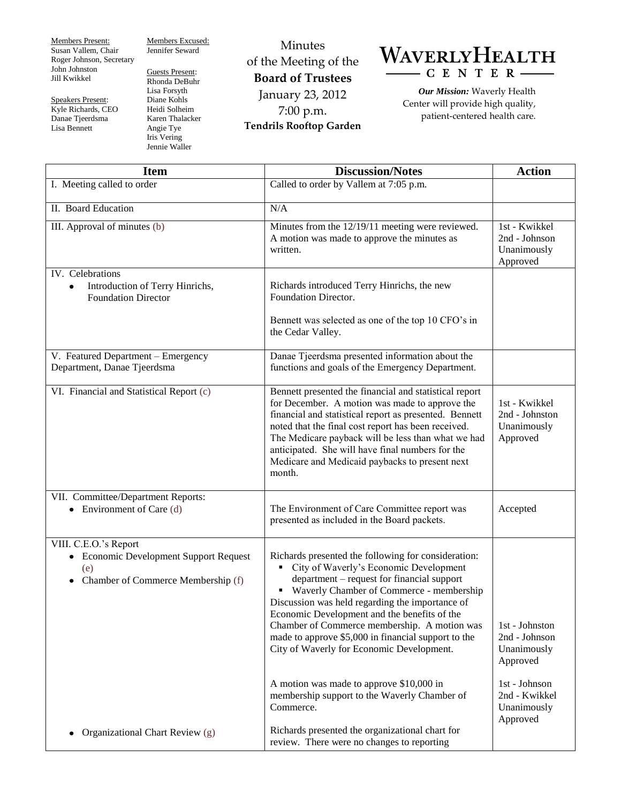Members Present: Susan Vallem, Chair Roger Johnson, Secretary John Johnston Jill Kwikkel

Speakers Present: Kyle Richards, CEO Danae Tjeerdsma Lisa Bennett

Members Excused: Jennifer Seward

Guests Present: Rhonda DeBuhr Lisa Forsyth Diane Kohls Heidi Solheim Karen Thalacker Angie Tye Iris Vering Jennie Waller

Minutes of the Meeting of the **Board of Trustees** January 23, 2012 7:00 p.m. **Tendrils Rooftop Garden**



*Our Mission:* Waverly Health Center will provide high quality, patient-centered health care.

| <b>Item</b>                                                                                                  | <b>Discussion/Notes</b>                                                                                                                                                                                                                                                                                                                                                                                                                            | <b>Action</b>                                              |
|--------------------------------------------------------------------------------------------------------------|----------------------------------------------------------------------------------------------------------------------------------------------------------------------------------------------------------------------------------------------------------------------------------------------------------------------------------------------------------------------------------------------------------------------------------------------------|------------------------------------------------------------|
| I. Meeting called to order                                                                                   | Called to order by Vallem at 7:05 p.m.                                                                                                                                                                                                                                                                                                                                                                                                             |                                                            |
| II. Board Education                                                                                          | N/A                                                                                                                                                                                                                                                                                                                                                                                                                                                |                                                            |
| III. Approval of minutes (b)                                                                                 | Minutes from the 12/19/11 meeting were reviewed.<br>A motion was made to approve the minutes as<br>written.                                                                                                                                                                                                                                                                                                                                        | 1st - Kwikkel<br>2nd - Johnson<br>Unanimously<br>Approved  |
| IV. Celebrations<br>Introduction of Terry Hinrichs,<br>٠<br><b>Foundation Director</b>                       | Richards introduced Terry Hinrichs, the new<br><b>Foundation Director.</b><br>Bennett was selected as one of the top 10 CFO's in                                                                                                                                                                                                                                                                                                                   |                                                            |
|                                                                                                              | the Cedar Valley.                                                                                                                                                                                                                                                                                                                                                                                                                                  |                                                            |
| V. Featured Department - Emergency<br>Department, Danae Tjeerdsma                                            | Danae Tjeerdsma presented information about the<br>functions and goals of the Emergency Department.                                                                                                                                                                                                                                                                                                                                                |                                                            |
| VI. Financial and Statistical Report (c)                                                                     | Bennett presented the financial and statistical report<br>for December. A motion was made to approve the<br>financial and statistical report as presented. Bennett<br>noted that the final cost report has been received.<br>The Medicare payback will be less than what we had<br>anticipated. She will have final numbers for the<br>Medicare and Medicaid paybacks to present next<br>month.                                                    | 1st - Kwikkel<br>2nd - Johnston<br>Unanimously<br>Approved |
| VII. Committee/Department Reports:<br>Environment of Care (d)<br>$\bullet$                                   | The Environment of Care Committee report was<br>presented as included in the Board packets.                                                                                                                                                                                                                                                                                                                                                        | Accepted                                                   |
| VIII. C.E.O.'s Report<br>• Economic Development Support Request<br>(e)<br>Chamber of Commerce Membership (f) | Richards presented the following for consideration:<br>• City of Waverly's Economic Development<br>department – request for financial support<br>• Waverly Chamber of Commerce - membership<br>Discussion was held regarding the importance of<br>Economic Development and the benefits of the<br>Chamber of Commerce membership. A motion was<br>made to approve \$5,000 in financial support to the<br>City of Waverly for Economic Development. | 1st - Johnston<br>2nd - Johnson<br>Unanimously<br>Approved |
|                                                                                                              | A motion was made to approve \$10,000 in<br>membership support to the Waverly Chamber of<br>Commerce.                                                                                                                                                                                                                                                                                                                                              | 1st - Johnson<br>2nd - Kwikkel<br>Unanimously<br>Approved  |
| Organizational Chart Review (g)                                                                              | Richards presented the organizational chart for<br>review. There were no changes to reporting                                                                                                                                                                                                                                                                                                                                                      |                                                            |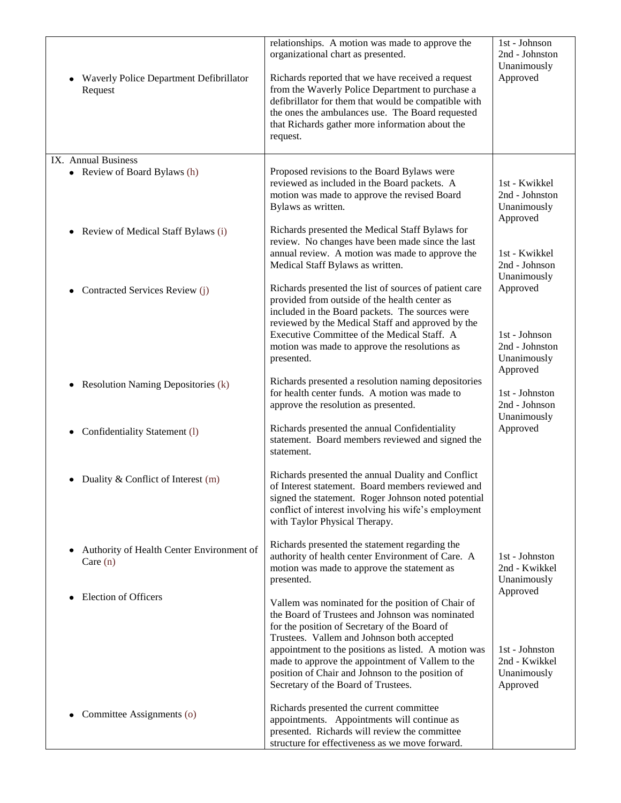| Waverly Police Department Defibrillator<br>Request      | relationships. A motion was made to approve the<br>organizational chart as presented.<br>Richards reported that we have received a request<br>from the Waverly Police Department to purchase a<br>defibrillator for them that would be compatible with<br>the ones the ambulances use. The Board requested<br>that Richards gather more information about the<br>request. | 1st - Johnson<br>2nd - Johnston<br>Unanimously<br>Approved |
|---------------------------------------------------------|---------------------------------------------------------------------------------------------------------------------------------------------------------------------------------------------------------------------------------------------------------------------------------------------------------------------------------------------------------------------------|------------------------------------------------------------|
| IX. Annual Business                                     |                                                                                                                                                                                                                                                                                                                                                                           |                                                            |
| • Review of Board Bylaws (h)                            | Proposed revisions to the Board Bylaws were<br>reviewed as included in the Board packets. A<br>motion was made to approve the revised Board<br>Bylaws as written.                                                                                                                                                                                                         | 1st - Kwikkel<br>2nd - Johnston<br>Unanimously<br>Approved |
| Review of Medical Staff Bylaws (i)<br>$\bullet$         | Richards presented the Medical Staff Bylaws for                                                                                                                                                                                                                                                                                                                           |                                                            |
|                                                         | review. No changes have been made since the last                                                                                                                                                                                                                                                                                                                          |                                                            |
|                                                         | annual review. A motion was made to approve the<br>Medical Staff Bylaws as written.                                                                                                                                                                                                                                                                                       | 1st - Kwikkel<br>2nd - Johnson<br>Unanimously              |
| Contracted Services Review (j)<br>٠                     | Richards presented the list of sources of patient care<br>provided from outside of the health center as                                                                                                                                                                                                                                                                   | Approved                                                   |
|                                                         | included in the Board packets. The sources were<br>reviewed by the Medical Staff and approved by the                                                                                                                                                                                                                                                                      |                                                            |
|                                                         | Executive Committee of the Medical Staff. A                                                                                                                                                                                                                                                                                                                               | 1st - Johnson                                              |
|                                                         | motion was made to approve the resolutions as                                                                                                                                                                                                                                                                                                                             | 2nd - Johnston                                             |
|                                                         | presented.                                                                                                                                                                                                                                                                                                                                                                | Unanimously<br>Approved                                    |
| <b>Resolution Naming Depositories (k)</b><br>$\bullet$  | Richards presented a resolution naming depositories                                                                                                                                                                                                                                                                                                                       |                                                            |
|                                                         | for health center funds. A motion was made to                                                                                                                                                                                                                                                                                                                             | 1st - Johnston                                             |
|                                                         | approve the resolution as presented.                                                                                                                                                                                                                                                                                                                                      | 2nd - Johnson<br>Unanimously                               |
| Confidentiality Statement (1)                           | Richards presented the annual Confidentiality                                                                                                                                                                                                                                                                                                                             | Approved                                                   |
|                                                         | statement. Board members reviewed and signed the                                                                                                                                                                                                                                                                                                                          |                                                            |
|                                                         | statement.                                                                                                                                                                                                                                                                                                                                                                |                                                            |
| Duality & Conflict of Interest (m)<br>$\bullet$         | Richards presented the annual Duality and Conflict                                                                                                                                                                                                                                                                                                                        |                                                            |
|                                                         | of Interest statement. Board members reviewed and                                                                                                                                                                                                                                                                                                                         |                                                            |
|                                                         | signed the statement. Roger Johnson noted potential<br>conflict of interest involving his wife's employment                                                                                                                                                                                                                                                               |                                                            |
|                                                         | with Taylor Physical Therapy.                                                                                                                                                                                                                                                                                                                                             |                                                            |
|                                                         | Richards presented the statement regarding the                                                                                                                                                                                                                                                                                                                            |                                                            |
| Authority of Health Center Environment of<br>Care $(n)$ | authority of health center Environment of Care. A                                                                                                                                                                                                                                                                                                                         | 1st - Johnston                                             |
|                                                         | motion was made to approve the statement as                                                                                                                                                                                                                                                                                                                               | 2nd - Kwikkel                                              |
|                                                         | presented.                                                                                                                                                                                                                                                                                                                                                                | Unanimously<br>Approved                                    |
| <b>Election of Officers</b>                             | Vallem was nominated for the position of Chair of                                                                                                                                                                                                                                                                                                                         |                                                            |
|                                                         | the Board of Trustees and Johnson was nominated<br>for the position of Secretary of the Board of                                                                                                                                                                                                                                                                          |                                                            |
|                                                         | Trustees. Vallem and Johnson both accepted                                                                                                                                                                                                                                                                                                                                |                                                            |
|                                                         | appointment to the positions as listed. A motion was                                                                                                                                                                                                                                                                                                                      | 1st - Johnston                                             |
|                                                         | made to approve the appointment of Vallem to the<br>position of Chair and Johnson to the position of                                                                                                                                                                                                                                                                      | 2nd - Kwikkel<br>Unanimously                               |
|                                                         | Secretary of the Board of Trustees.                                                                                                                                                                                                                                                                                                                                       | Approved                                                   |
|                                                         | Richards presented the current committee                                                                                                                                                                                                                                                                                                                                  |                                                            |
| Committee Assignments (o)                               | appointments. Appointments will continue as                                                                                                                                                                                                                                                                                                                               |                                                            |
|                                                         | presented. Richards will review the committee<br>structure for effectiveness as we move forward.                                                                                                                                                                                                                                                                          |                                                            |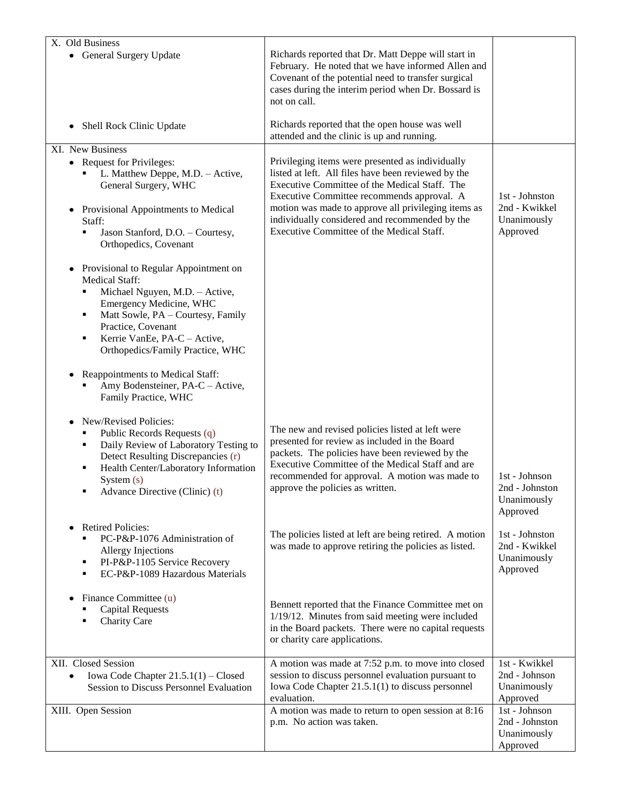| X. Old Business<br>• General Surgery Update                                                                                                                                                                                                                                     | Richards reported that Dr. Matt Deppe will start in<br>February. He noted that we have informed Allen and<br>Covenant of the potential need to transfer surgical                                                                                                                                                |                                                             |
|---------------------------------------------------------------------------------------------------------------------------------------------------------------------------------------------------------------------------------------------------------------------------------|-----------------------------------------------------------------------------------------------------------------------------------------------------------------------------------------------------------------------------------------------------------------------------------------------------------------|-------------------------------------------------------------|
|                                                                                                                                                                                                                                                                                 | cases during the interim period when Dr. Bossard is<br>not on call.                                                                                                                                                                                                                                             |                                                             |
| Shell Rock Clinic Update<br>٠                                                                                                                                                                                                                                                   | Richards reported that the open house was well<br>attended and the clinic is up and running.                                                                                                                                                                                                                    |                                                             |
| XI. New Business<br>• Request for Privileges:<br>L. Matthew Deppe, M.D. - Active,<br>General Surgery, WHC<br>Provisional Appointments to Medical<br>٠<br>Staff:                                                                                                                 | Privileging items were presented as individually<br>listed at left. All files have been reviewed by the<br>Executive Committee of the Medical Staff. The<br>Executive Committee recommends approval. A<br>motion was made to approve all privileging items as<br>individually considered and recommended by the | 1st - Johnston<br>2nd - Kwikkel<br>Unanimously              |
| Jason Stanford, D.O. - Courtesy,<br>٠<br>Orthopedics, Covenant                                                                                                                                                                                                                  | Executive Committee of the Medical Staff.                                                                                                                                                                                                                                                                       | Approved                                                    |
| Provisional to Regular Appointment on<br>$\bullet$<br>Medical Staff:<br>Michael Nguyen, M.D. - Active,<br>٠<br>Emergency Medicine, WHC<br>Matt Sowle, PA - Courtesy, Family<br>٠<br>Practice, Covenant<br>Kerrie VanEe, PA-C - Active,<br>٠<br>Orthopedics/Family Practice, WHC |                                                                                                                                                                                                                                                                                                                 |                                                             |
| Reappointments to Medical Staff:<br>Amy Bodensteiner, PA-C - Active,<br>Family Practice, WHC                                                                                                                                                                                    |                                                                                                                                                                                                                                                                                                                 |                                                             |
| New/Revised Policies:<br>Public Records Requests (q)<br>٠<br>Daily Review of Laboratory Testing to<br>٠<br>Detect Resulting Discrepancies (r)<br>Health Center/Laboratory Information<br>٠<br>System $(s)$<br>Advance Directive (Clinic) (t)                                    | The new and revised policies listed at left were<br>presented for review as included in the Board<br>packets. The policies have been reviewed by the<br>Executive Committee of the Medical Staff and are<br>recommended for approval. A motion was made to<br>approve the policies as written.                  | 1st - Johnson<br>2nd - Johnston<br>Unanimously<br>Approved  |
| <b>Retired Policies:</b><br>PC-P&P-1076 Administration of<br>٠<br><b>Allergy Injections</b><br>PI-P&P-1105 Service Recovery<br>٠<br>EC-P&P-1089 Hazardous Materials<br>٠                                                                                                        | The policies listed at left are being retired. A motion<br>was made to approve retiring the policies as listed.                                                                                                                                                                                                 | 1st - Johnston<br>2nd - Kwikkel<br>Unanimously<br>Approved  |
| Finance Committee (u)<br><b>Capital Requests</b><br>Charity Care                                                                                                                                                                                                                | Bennett reported that the Finance Committee met on<br>1/19/12. Minutes from said meeting were included<br>in the Board packets. There were no capital requests<br>or charity care applications.                                                                                                                 |                                                             |
| XII. Closed Session<br>Iowa Code Chapter $21.5.1(1)$ – Closed<br>Session to Discuss Personnel Evaluation                                                                                                                                                                        | A motion was made at 7:52 p.m. to move into closed<br>session to discuss personnel evaluation pursuant to<br>Iowa Code Chapter 21.5.1(1) to discuss personnel<br>evaluation.                                                                                                                                    | $1st - Kwikkel$<br>2nd - Johnson<br>Unanimously<br>Approved |
| XIII. Open Session                                                                                                                                                                                                                                                              | A motion was made to return to open session at 8:16<br>p.m. No action was taken.                                                                                                                                                                                                                                | 1st - Johnson<br>2nd - Johnston<br>Unanimously<br>Approved  |